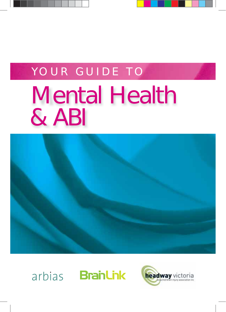# YOUR GUIDE TO Mental Health & ABI





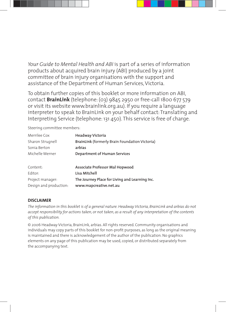*Your Guide to Mental Health and ABI* is part of a series of information products about acquired brain injury (ABI) produced by a joint committee of brain injury organisations with the support and assistance of the Department of Human Services, Victoria.

To obtain further copies of this booklet or more information on ABI, contact **BrainLink** (telephone: (03) 9845 2950 or free-call 1800 677 579 or visit its website www.brainlink.org.au). If you require a language interpreter to speak to BrainLink on your behalf contact: Translating and Interpreting Service (telephone: 131 450). This service is free of charge.

Steering committee members:

| Merrilee Cox           | Headway Victoria                               |
|------------------------|------------------------------------------------|
| Sharon Strugnell       | BrainLink (formerly Brain Foundation Victoria) |
| Sonia Berton           | arbias                                         |
| Michelle Werner        | Department of Human Services                   |
|                        |                                                |
| Content:               | Associate Professor Mal Hopwood                |
| Editor:                | Lisa Mitchell                                  |
| Project manager:       | The Journey Place for Living and Learning Inc. |
| Design and production: | www.mapcreative.net.au                         |

#### **DISCLAIMER**

*The information in this booklet is of a general nature. Headway Victoria, BrainLink and arbias do not accept responsibility for actions taken, or not taken, as a result of any interpretation of the contents of this publication.*

© 2006 Headway Victoria, BrainLink*,* arbias. All rights reserved. Community organisations and individuals may copy parts of this booklet for non-profit purposes, as long as the original meaning is maintained and there is acknowledgement of the author of the publication. No graphics elements on any page of this publication may be used, copied, or distributed separately from the accompanying text.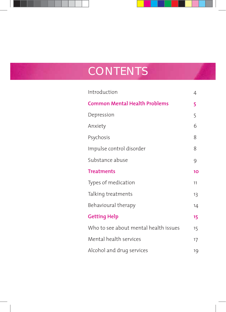## **CONTENTS**

| Introduction                          |    |
|---------------------------------------|----|
| <b>Common Mental Health Problems</b>  |    |
| Depression                            | 5  |
| Anxiety                               | 6  |
| Psychosis                             | 8  |
| Impulse control disorder              | 8  |
| Substance abuse                       | 9  |
| <b>Treatments</b>                     | 10 |
| Types of medication                   | 11 |
| Talking treatments                    | 13 |
| Behavioural therapy                   | 14 |
| <b>Getting Help</b>                   |    |
| Who to see about mental health issues | 15 |
| Mental health services                |    |
| Alcohol and drug services             | 19 |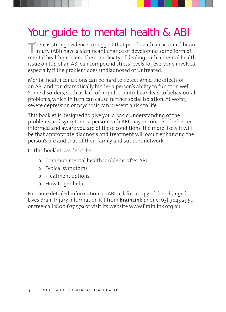### Your guide to mental health & ABI

**There is strong evidence to suggest that people with an acquired brain injury (ABI) have a significant chance of developing some form of** mental health problem. The complexity of dealing with a mental health issue on top of an ABI can compound stress levels for everyone involved, especially if the problem goes undiagnosed or untreated.

Mental health conditions can be hard to detect amid the effects of an ABI and can dramatically hinder a person's ability to function well. Some disorders, such as lack of impulse control, can lead to behavioural problems, which in turn can cause further social isolation. At worst, severe depression or psychosis can present a risk to life.

This booklet is designed to give you a basic understanding of the problems and symptoms a person with ABI may encounter. The better informed and aware you are of these conditions, the more likely it will be that appropriate diagnosis and treatment will occur, enhancing the person's life and that of their family and support network.

In this booklet, we describe:

- **>** Common mental health problems after ABI
- **>** Typical symptoms
- **>** Treatment options
- **>** How to get help

For more detailed information on ABI, ask for a copy of the Changed Lives Brain Injury Information Kit from **BrainLink** phone: 03) 9845 2950 or free-call 1800 677 579 or visit its website www.Brainlink.org.au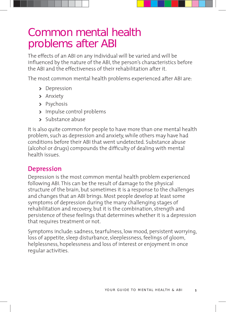### Common mental health problems after ABI

The effects of an ABI on any individual will be varied and will be influenced by the nature of the ABI, the person's characteristics before the ABI and the effectiveness of their rehabilitation after it.

The most common mental health problems experienced after ABI are:

- **>** Depression
- **>** Anxiety
- **>** Psychosis
- **>** Impulse control problems
- **>** Substance abuse

It is also quite common for people to have more than one mental health problem, such as depression and anxiety, while others may have had conditions before their ABI that went undetected. Substance abuse (alcohol or drugs) compounds the difficulty of dealing with mental health issues.

#### **Depression**

Depression is the most common mental health problem experienced following ABI. This can be the result of damage to the physical structure of the brain, but sometimes it is a response to the challenges and changes that an ABI brings. Most people develop at least some symptoms of depression during the many challenging stages of rehabilitation and recovery, but it is the combination, strength and persistence of these feelings that determines whether it is a depression that requires treatment or not.

Symptoms include: sadness, tearfulness, low mood, persistent worrying, loss of appetite, sleep disturbance, sleeplessness, feelings of gloom, helplessness, hopelessness and loss of interest or enjoyment in once regular activities.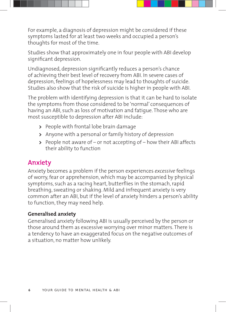For example, a diagnosis of depression might be considered if these symptoms lasted for at least two weeks and occupied a person's thoughts for most of the time.

Studies show that approximately one in four people with ABI develop significant depression.

Undiagnosed, depression significantly reduces a person's chance of achieving their best level of recovery from ABI. In severe cases of depression, feelings of hopelessness may lead to thoughts of suicide. Studies also show that the risk of suicide is higher in people with ABI.

The problem with identifying depression is that it can be hard to isolate the symptoms from those considered to be 'normal' consequences of having an ABI, such as loss of motivation and fatigue. Those who are most susceptible to depression after ABI include:

- **>** People with frontal lobe brain damage
- **>** Anyone with a personal or family history of depression
- **>** People not aware of or not accepting of how their ABI affects their ability to function

#### **Anxiety**

Anxiety becomes a problem if the person experiences *excessive* feelings of worry, fear or apprehension, which may be accompanied by physical symptoms, such as a racing heart, butterflies in the stomach, rapid breathing, sweating or shaking. Mild and infrequent anxiety is very common after an ABI, but if the level of anxiety hinders a person's ability to function, they may need help.

#### **Generalised anxiety**

Generalised anxiety following ABI is usually perceived by the person or those around them as excessive worrying over minor matters. There is a tendency to have an exaggerated focus on the negative outcomes of a situation, no matter how unlikely.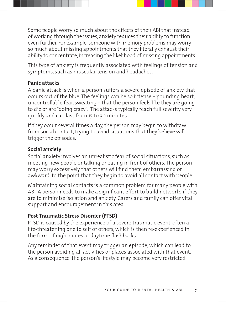Some people worry so much about the effects of their ABI that instead of working through the issues, anxiety reduces their ability to function even further. For example, someone with memory problems may worry so much about missing appointments that they literally exhaust their ability to concentrate, increasing the likelihood of missing appointments!

This type of anxiety is frequently associated with feelings of tension and symptoms, such as muscular tension and headaches.

#### **Panic attacks**

A panic attack is when a person suffers a severe episode of anxiety that occurs out of the blue. The feelings can be so intense – pounding heart, uncontrollable fear, sweating – that the person feels like they are going to die or are "going crazy". The attacks typically reach full severity very quickly and can last from 15 to 30 minutes.

If they occur several times a day, the person may begin to withdraw from social contact, trying to avoid situations that they believe will trigger the episodes.

#### **Social anxiety**

Social anxiety involves an unrealistic fear of social situations, such as meeting new people or talking or eating in front of others. The person may worry excessively that others will find them embarrassing or awkward, to the point that they begin to avoid all contact with people.

Maintaining social contacts is a common problem for many people with ABI. A person needs to make a significant effort to build networks if they are to minimise isolation and anxiety. Carers and family can offer vital support and encouragement in this area.

#### **Post Traumatic Stress Disorder (PTSD)**

PTSD is caused by the experience of a severe traumatic event, often a life-threatening one to self or others, which is then re-experienced in the form of nightmares or daytime flashbacks.

Any reminder of that event may trigger an episode, which can lead to the person avoiding all activities or places associated with that event. As a consequence, the person's lifestyle may become very restricted.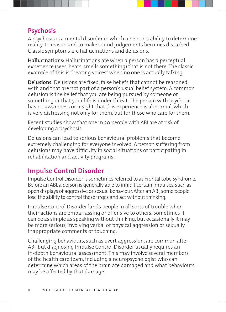#### **Psychosis**

A psychosis is a mental disorder in which a person's ability to determine reality, to reason and to make sound judgements becomes disturbed. Classic symptoms are hallucinations and delusions.

**Hallucinations:** Hallucinations are when a person has a perceptual experience (sees, hears, smells something) that is not there. The classic example of this is "hearing voices" when no one is actually talking.

**Delusions:** Delusions are fixed, false beliefs that cannot be reasoned with and that are not part of a person's usual belief system. A common delusion is the belief that you are being pursued by someone or something or that your life is under threat. The person with psychosis has no awareness or insight that this experience is abnormal, which is very distressing not only for them, but for those who care for them.

Recent studies show that one in 20 people with ABI are at risk of developing a psychosis.

Delusions can lead to serious behavioural problems that become extremely challenging for everyone involved. A person suffering from delusions may have difficulty in social situations or participating in rehabilitation and activity programs.

#### **Impulse Control Disorder**

Impulse Control Disorder is sometimes referred to as Frontal Lobe Syndrome. Before an ABI, a person is generally able to inhibit certain impulses, such as open displays of aggressive or sexual behaviour. After an ABI, some people lose the ability to control these urges and act without thinking.

Impulse Control Disorder lands people in all sorts of trouble when their actions are embarrassing or offensive to others. Sometimes it can be as simple as speaking without thinking, but occasionally it may be more serious, involving verbal or physical aggression or sexually inappropriate comments or touching.

Challenging behaviours, such as overt aggression, are common after ABI, but diagnosing Impulse Control Disorder usually requires an in-depth behavioural assessment. This may involve several members of the health care team, including a neuropsychologist who can determine which areas of the brain are damaged and what behaviours may be affected by that damage.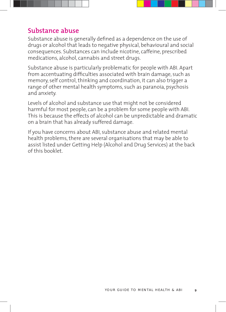#### **Substance abuse**

Substance abuse is generally defined as a dependence on the use of drugs or alcohol that leads to negative physical, behavioural and social consequences. Substances can include nicotine, caffeine, prescribed medications, alcohol, cannabis and street drugs.

Substance abuse is particularly problematic for people with ABI. Apart from accentuating difficulties associated with brain damage, such as memory, self control, thinking and coordination, it can also trigger a range of other mental health symptoms, such as paranoia, psychosis and anxiety.

Levels of alcohol and substance use that might not be considered harmful for most people, can be a problem for some people with ABI. This is because the effects of alcohol can be unpredictable and dramatic on a brain that has already suffered damage.

If you have concerns about ABI, substance abuse and related mental health problems, there are several organisations that may be able to assist listed under Getting Help (Alcohol and Drug Services) at the back of this booklet.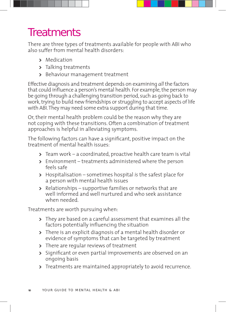### **Treatments**

There are three types of treatments available for people with ABI who also suffer from mental health disorders:

- **>** Medication
- **>** Talking treatments
- **>** Behaviour management treatment

Effective diagnosis and treatment depends on examining *all* the factors that could influence a person's mental health. For example, the person may be going through a challenging transition period, such as going back to work, trying to build new friendships or struggling to accept aspects of life with ABI. They may need some extra support during that time.

Or, their mental health problem could be the reason why they are not coping with these transitions. Often a combination of treatment approaches is helpful in alleviating symptoms.

The following factors can have a significant, positive impact on the treatment of mental health issues:

- **>** Team work a coordinated, proactive health care team is vital
- **>** Environment treatments administered where the person feels safe
- **>** Hospitalisation sometimes hospital *is* the safest place for a person with mental health issues
- **>** Relationships supportive families or networks that are well informed and well nurtured and who seek assistance when needed.

Treatments are worth pursuing when:

- **>** They are based on a careful assessment that examines all the factors potentially influencing the situation
- **>** There is an explicit diagnosis of a mental health disorder or evidence of symptoms that can be targeted by treatment
- **>** There are regular reviews of treatment
- **>** Significant or even partial improvements are observed on an ongoing basis
- **>** Treatments are maintained appropriately to avoid recurrence.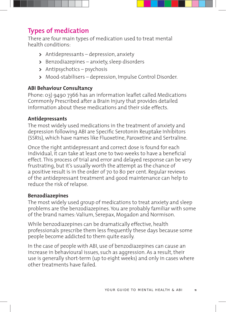#### **Types of medication**

There are four main types of medication used to treat mental health conditions:

- **>** Antidepressants depression, anxiety
- **>** Benzodiazepines anxiety, sleep disorders
- **>** Antipsychotics psychosis
- **>** Mood-stabilisers depression, Impulse Control Disorder.

#### **ABI Behaviour Consultancy**

Phone: 03) 9490 7366 has an information leaflet called Medications Commonly Prescribed after a Brain Injury that provides detailed information about these medications and their side effects.

#### **Antidepressants**

The most widely used medications in the treatment of anxiety and depression following ABI are Specific Serotonin Reuptake Inhibitors (SSRIs), which have names like Fluoxetine, Paroxetine and Sertraline.

Once the right antidepressant and correct dose is found for each individual, it can take at least one to two weeks to have a beneficial effect. This process of trial and error and delayed response can be very frustrating, but it's usually worth the attempt as the chance of a positive result is in the order of 70 to 80 per cent. Regular reviews of the antidepressant treatment and good maintenance can help to reduce the risk of relapse.

#### **Benzodiazepines**

The most widely used group of medications to treat anxiety and sleep problems are the benzodiazepines. You are probably familiar with some of the brand names: Valium, Serepax, Mogadon and Normison.

While benzodiazepines can be dramatically effective, health professionals prescribe them less frequently these days because some people become addicted to them quite easily.

In the case of people with ABI, use of benzodiazepines can cause an increase in behavioural issues, such as aggression. As a result, their use is generally short-term (up to eight weeks) and only in cases where other treatments have failed.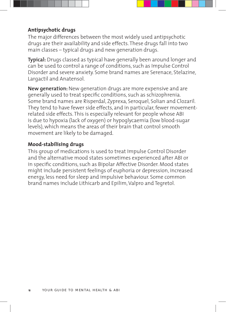#### **Antipsychotic drugs**

The major differences between the most widely used antipsychotic drugs are their availability and side effects. These drugs fall into two main classes – typical drugs and new generation drugs.

**Typical:** Drugs classed as typical have generally been around longer and can be used to control a range of conditions, such as Impulse Control Disorder and severe anxiety. Some brand names are Serenace, Stelazine, Largactil and Anatensol.

**New generation:** New generation drugs are more expensive and are generally used to treat specific conditions, such as schizophrenia. Some brand names are Risperdal, Zyprexa, Seroquel, Solian and Clozaril. They tend to have fewer side effects, and in particular, fewer movementrelated side effects. This is especially relevant for people whose ABI is due to hypoxia (lack of oxygen) or hypoglycaemia (low blood-sugar levels), which means the areas of their brain that control smooth movement are likely to be damaged.

#### **Mood-stabilising drugs**

This group of medications is used to treat Impulse Control Disorder and the alternative mood states sometimes experienced after ABI or in specific conditions, such as Bipolar Affective Disorder. Mood states might include persistent feelings of euphoria or depression, increased energy, less need for sleep and impulsive behaviour. Some common brand names include Lithicarb and Epilim, Valpro and Tegretol.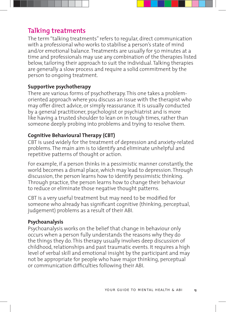#### **Talking treatments**

The term "talking treatments" refers to regular, direct communication with a professional who works to stabilise a person's state of mind and/or emotional balance. Treatments are usually for 50 minutes at a time and professionals may use any combination of the therapies listed below, tailoring their approach to suit the individual. Talking therapies are generally a slow process and require a solid commitment by the person to ongoing treatment.

#### **Supportive psychotherapy**

There are various forms of psychotherapy. This one takes a problemoriented approach where you discuss an issue with the therapist who may offer direct advice, or simply reassurance. It is usually conducted by a general practitioner, psychologist or psychiatrist and is more like having a trusted shoulder to lean on in tough times, rather than someone deeply probing into problems and trying to resolve them.

#### **Cognitive Behavioural Therapy (CBT)**

CBT is used widely for the treatment of depression and anxiety-related problems. The main aim is to identify and eliminate unhelpful and repetitive patterns of thought or action.

For example, if a person thinks in a pessimistic manner constantly, the world becomes a dismal place, which may lead to depression. Through discussion, the person learns how to identify pessimistic thinking. Through practice, the person learns how to change their behaviour to reduce or eliminate those negative thought patterns.

CBT is a very useful treatment but may need to be modified for someone who already has significant cognitive (thinking, perceptual, judgement) problems as a result of their ABI.

#### **Psychoanalysis**

Psychoanalysis works on the belief that change in behaviour only occurs when a person fully understands the reasons why they do the things they do. This therapy usually involves deep discussion of childhood, relationships and past traumatic events. It requires a high level of verbal skill and emotional insight by the participant and may not be appropriate for people who have major thinking, perceptual or communication difficulties following their ABI.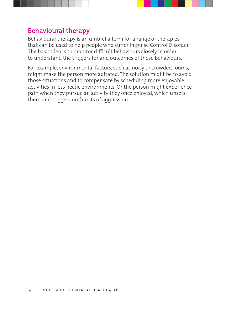#### **Behavioural therapy**

Behavioural therapy is an umbrella term for a range of therapies that can be used to help people who suffer Impulse Control Disorder. The basic idea is to monitor difficult behaviours closely in order to understand the triggers for and outcomes of those behaviours.

For example, environmental factors, such as noisy or crowded rooms, might make the person more agitated. The solution might be to avoid those situations and to compensate by scheduling more enjoyable activities in less hectic environments. Or the person might experience pain when they pursue an activity they once enjoyed, which upsets them and triggers outbursts of aggression.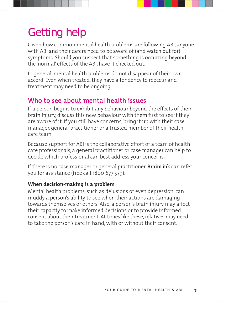### Getting help

Given how common mental health problems are following ABI, anyone with ABI and their carers need to be aware of (and watch out for) symptoms. Should you suspect that something is occurring beyond the 'normal' effects of the ABI, have it checked out.

In general, mental health problems do not disappear of their own accord. Even when treated, they have a tendency to reoccur and treatment may need to be ongoing.

#### **Who to see about mental health issues**

If a person begins to exhibit any behaviour beyond the effects of their brain injury, discuss this new behaviour with them first to see if they are aware of it. If you still have concerns, bring it up with their case manager, general practitioner or a trusted member of their health care team.

Because support for ABI is the collaborative effort of a team of health care professionals, a general practitioner or case manager can help to decide which professional can best address your concerns.

If there is no case manager or general practitioner, **BrainLink** can refer you for assistance (free call:1800 677 579).

#### **When decision-making is a problem**

Mental health problems, such as delusions or even depression, can muddy a person's ability to see when their actions are damaging towards themselves or others. Also, a person's brain injury may affect their capacity to make informed decisions or to provide informed consent about their treatment. At times like these, relatives may need to take the person's care in hand, with or without their consent.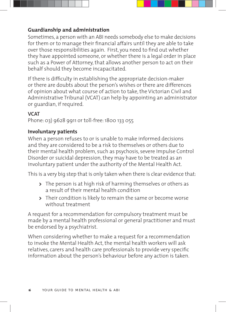#### **Guardianship and administration**

Sometimes, a person with an ABI needs somebody else to make decisions for them or to manage their financial affairs until they are able to take over those responsibilities again. First, you need to find out whether they have appointed someone, or whether there is a legal order in place such as a Power of Attorney, that allows another person to act on their behalf should they become incapacitated.

If there is difficulty in establishing the appropriate decision-maker or there are doubts about the person's wishes or there are differences of opinion about what course of action to take, the Victorian Civil and Administrative Tribunal (VCAT) can help by appointing an administrator or guardian, if required.

#### **VCAT**

Phone: 03) 9628 9911 or toll-free: 1800 133 055

#### **Involuntary patients**

When a person refuses to or is unable to make informed decisions and they are considered to be a risk to themselves or others due to their mental health problem, such as psychosis, severe Impulse Control Disorder or suicidal depression, they may have to be treated as an involuntary patient under the authority of the Mental Health Act.

This is a very big step that is only taken when there is clear evidence that:

- **>** The person is at high risk of harming themselves or others as a result of their mental health condition
- **>** Their condition is likely to remain the same or become worse without treatment

A request for a recommendation for compulsory treatment must be made by a mental health professional or general practitioner and must be endorsed by a psychiatrist.

When considering whether to make a request for a recommendation to invoke the Mental Health Act, the mental health workers will ask relatives, carers and health care professionals to provide very specific information about the person's behaviour before any action is taken.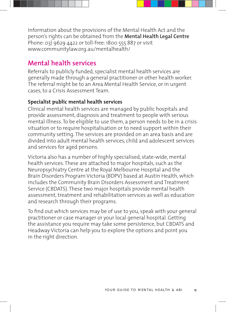Information about the provisions of the Mental Health Act and the person's rights can be obtained from the **Mental Health Legal Centre** Phone: 03) 9629 4422 or toll-free: 1800 555 887 or visit www.communitylaw.org.au/mentalhealth/

#### **Mental health services**

Referrals to publicly funded, specialist mental health services are generally made through a general practitioner or other health worker. The referral might be to an Area Mental Health Service, or in urgent cases, to a Crisis Assessment Team.

#### **Specialist public mental health services**

Clinical mental health services are managed by public hospitals and provide assessment, diagnosis and treatment to people with serious mental illness. To be eligible to use them, a person needs to be in a crisis situation or to require hospitalisation or to need support within their community setting. The services are provided on an area basis and are divided into adult mental health services, child and adolescent services and services for aged persons.

Victoria also has a number of highly specialised, state-wide, mental health services. These are attached to major hospitals, such as the Neuropsychiatry Centre at the Royal Melbourne Hospital and the Brain Disorders Program Victoria (BDPV) based at Austin Health, which includes the Community Brain Disorders Assessment and Treatment Service (CBDATS). These two major hospitals provide mental health assessment, treatment and rehabilitation services as well as education and research through their programs.

To find out which services may be of use to you, speak with your general practitioner or case manager or your local general hospital. Getting the assistance you require may take some persistence, but CBDATS and Headway Victoria can help you to explore the options and point you in the right direction.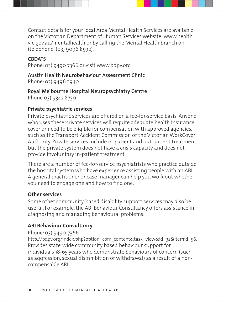Contact details for your local Area Mental Health Services are available on the Victorian Department of Human Services website: www.health. vic.gov.au/mentalhealth or by calling the Mental Health branch on (telephone: (03) 9096 8592).

#### **CBDATS**

Phone: 03) 9490 7366 or visit www.bdpv.org

#### **Austin Health Neurobehaviour Assessment Clinic**

Phone: 03) 9496 2940

#### **Royal Melbourne Hospital Neuropsychiatry Centre** Phone 03) 9342 8750

#### **Private psychiatric services**

Private psychiatric services are offered on a fee-for-service basis. Anyone who uses these private services will require adequate health insurance cover or need to be eligible for compensation with approved agencies, such as the Transport Accident Commission or the Victorian WorkCover Authority. Private services include in-patient and out-patient treatment but the private system does not have a crisis capacity and does not provide involuntary in-patient treatment.

There are a number of fee-for-service psychiatrists who practice outside the hospital system who have experience assisting people with an ABI. A general practitioner or case manager can help you work out whether you need to engage one and how to find one.

#### **Other services**

Some other community-based disability support services may also be useful. For example, the ABI Behaviour Consultancy offers assistance in diagnosing and managing behavioural problems.

#### **ABI Behaviour Consultancy**

#### Phone: 03) 9490-7366

http://bdpv.org/index.php?option=com\_content&task=view&id=32&Itemid=56. Provides state-wide community based behaviour support for individuals 18-65 years who demonstrate behaviours of concern (such as aggression, sexual disinhibition or withdrawal) as a result of a noncompensable ABI.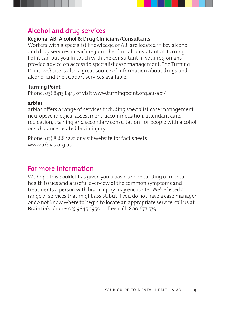#### **Alcohol and drug services**

#### **Regional ABI Alcohol & Drug Clinicians/Consultants**

Workers with a specialist knowledge of ABI are located in key alcohol and drug services in each region. The clinical consultant at Turning Point can put you in touch with the consultant in your region and provide advice on access to specialist case management. The Turning Point website is also a great source of information about drugs and alcohol and the support services available.

#### **Turning Point**

Phone: 03) 8413 8413 or visit www.turningpoint.org.au/abi/

#### **arbias**

arbias offers a range of services including specialist case management, neuropsychological assessment, accommodation, attendant care, recreation, training and secondary consultation for people with alcohol or substance-related brain injury.

Phone: 03) 8388 1222 or visit website for fact sheets www.arbias.org.au

#### **For more information**

We hope this booklet has given you a basic understanding of mental health issues and a useful overview of the common symptoms and treatments a person with brain injury may encounter. We've listed a range of services that might assist, but if you do not have a case manager or do not know where to begin to locate an appropriate service, call us at **BrainLink** phone: 03) 9845 2950 or free-call 1800 677 579.